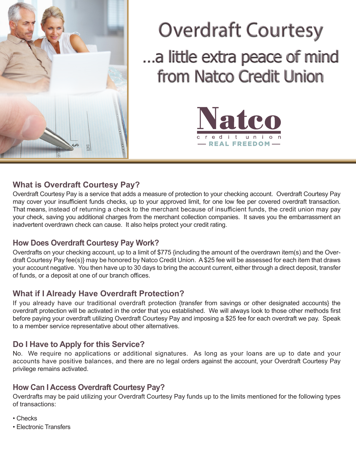

# Overdraft Courtesy …a little extra peace of mind from Natco Credit Union



# **What is Overdraft Courtesy Pay?**

Overdraft Courtesy Pay is a service that adds a measure of protection to your checking account. Overdraft Courtesy Pay may cover your insufficient funds checks, up to your approved limit, for one low fee per covered overdraft transaction. That means, instead of returning a check to the merchant because of insufficient funds, the credit union may pay your check, saving you additional charges from the merchant collection companies. It saves you the embarrassment an inadvertent overdrawn check can cause. It also helps protect your credit rating.

### **How Does Overdraft Courtesy Pay Work?**

Overdrafts on your checking account, up to a limit of \$775 {including the amount of the overdrawn item(s) and the Overdraft Courtesy Pay fee(s)} may be honored by Natco Credit Union. A \$25 fee will be assessed for each item that draws your account negative. You then have up to 30 days to bring the account current, either through a direct deposit, transfer of funds, or a deposit at one of our branch offices.

# **What if I Already Have Overdraft Protection?**

If you already have our traditional overdraft protection {transfer from savings or other designated accounts} the overdraft protection will be activated in the order that you established. We will always look to those other methods first before paying your overdraft utilizing Overdraft Courtesy Pay and imposing a \$25 fee for each overdraft we pay. Speak to a member service representative about other alternatives.

# **Do I Have to Apply for this Service?**

No. We require no applications or additional signatures. As long as your loans are up to date and your accounts have positive balances, and there are no legal orders against the account, your Overdraft Courtesy Pay privilege remains activated.

# **How Can I Access Overdraft Courtesy Pay?**

Overdrafts may be paid utilizing your Overdraft Courtesy Pay funds up to the limits mentioned for the following types of transactions:

- Checks
- Electronic Transfers